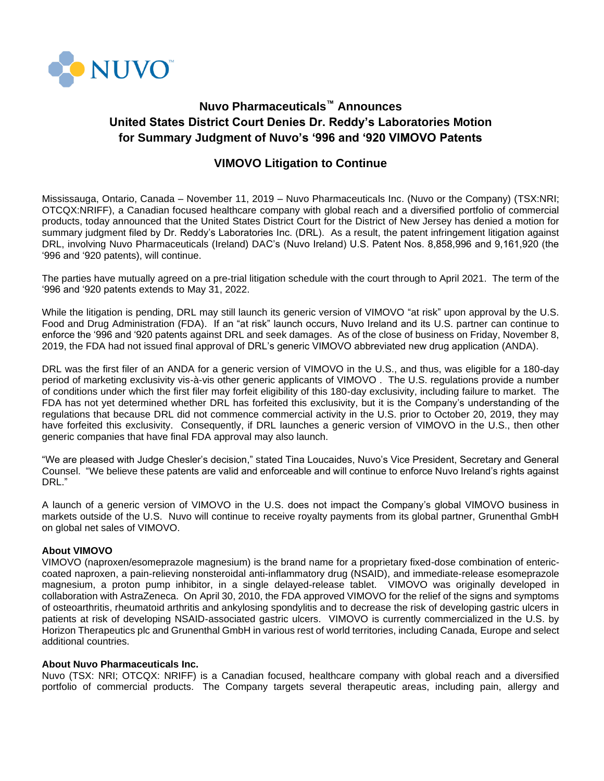

# **Nuvo Pharmaceuticals™ Announces United States District Court Denies Dr. Reddy's Laboratories Motion for Summary Judgment of Nuvo's '996 and '920 VIMOVO Patents**

## **VIMOVO Litigation to Continue**

Mississauga, Ontario, Canada – November 11, 2019 – Nuvo Pharmaceuticals Inc. (Nuvo or the Company) (TSX:NRI; OTCQX:NRIFF), a Canadian focused healthcare company with global reach and a diversified portfolio of commercial products, today announced that the United States District Court for the District of New Jersey has denied a motion for summary judgment filed by Dr. Reddy's Laboratories Inc. (DRL). As a result, the patent infringement litigation against DRL, involving Nuvo Pharmaceuticals (Ireland) DAC's (Nuvo Ireland) U.S. Patent Nos. 8,858,996 and 9,161,920 (the '996 and '920 patents), will continue.

The parties have mutually agreed on a pre-trial litigation schedule with the court through to April 2021. The term of the '996 and '920 patents extends to May 31, 2022.

While the litigation is pending. DRL may still launch its generic version of VIMOVO "at risk" upon approval by the U.S. Food and Drug Administration (FDA). If an "at risk" launch occurs, Nuvo Ireland and its U.S. partner can continue to enforce the '996 and '920 patents against DRL and seek damages. As of the close of business on Friday, November 8, 2019, the FDA had not issued final approval of DRL's generic VIMOVO abbreviated new drug application (ANDA).

DRL was the first filer of an ANDA for a generic version of VIMOVO in the U.S., and thus, was eligible for a 180-day period of marketing exclusivity vis-à-vis other generic applicants of VIMOVO . The U.S. regulations provide a number of conditions under which the first filer may forfeit eligibility of this 180-day exclusivity, including failure to market. The FDA has not yet determined whether DRL has forfeited this exclusivity, but it is the Company's understanding of the regulations that because DRL did not commence commercial activity in the U.S. prior to October 20, 2019, they may have forfeited this exclusivity. Consequently, if DRL launches a generic version of VIMOVO in the U.S., then other generic companies that have final FDA approval may also launch.

"We are pleased with Judge Chesler's decision," stated Tina Loucaides, Nuvo's Vice President, Secretary and General Counsel. "We believe these patents are valid and enforceable and will continue to enforce Nuvo Ireland's rights against DRL."

A launch of a generic version of VIMOVO in the U.S. does not impact the Company's global VIMOVO business in markets outside of the U.S. Nuvo will continue to receive royalty payments from its global partner, Grunenthal GmbH on global net sales of VIMOVO.

### **About VIMOVO**

VIMOVO (naproxen/esomeprazole magnesium) is the brand name for a proprietary fixed-dose combination of entericcoated naproxen, a pain-relieving nonsteroidal anti-inflammatory drug (NSAID), and immediate-release esomeprazole magnesium, a proton pump inhibitor, in a single delayed-release tablet. VIMOVO was originally developed in collaboration with AstraZeneca. On April 30, 2010, the FDA approved VIMOVO for the relief of the signs and symptoms of osteoarthritis, rheumatoid arthritis and ankylosing spondylitis and to decrease the risk of developing gastric ulcers in patients at risk of developing NSAID-associated gastric ulcers. VIMOVO is currently commercialized in the U.S. by Horizon Therapeutics plc and Grunenthal GmbH in various rest of world territories, including Canada, Europe and select additional countries.

### **About Nuvo Pharmaceuticals Inc.**

Nuvo (TSX: NRI; OTCQX: NRIFF) is a Canadian focused, healthcare company with global reach and a diversified portfolio of commercial products. The Company targets several therapeutic areas, including pain, allergy and